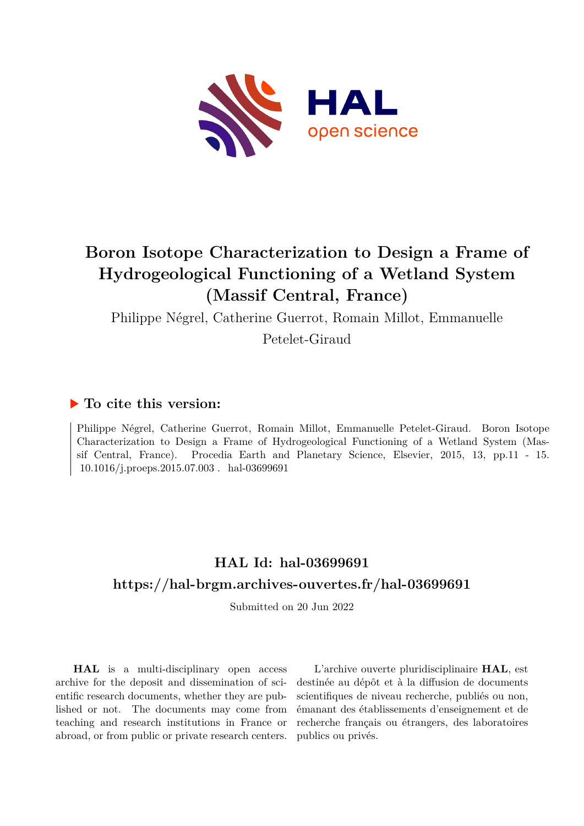

# **Boron Isotope Characterization to Design a Frame of Hydrogeological Functioning of a Wetland System (Massif Central, France)**

Philippe Négrel, Catherine Guerrot, Romain Millot, Emmanuelle

Petelet-Giraud

### **To cite this version:**

Philippe Négrel, Catherine Guerrot, Romain Millot, Emmanuelle Petelet-Giraud. Boron Isotope Characterization to Design a Frame of Hydrogeological Functioning of a Wetland System (Massif Central, France). Procedia Earth and Planetary Science, Elsevier, 2015, 13, pp.11 - 15.  $10.1016/j.proeps.2015.07.003$ . hal-03699691

### **HAL Id: hal-03699691 <https://hal-brgm.archives-ouvertes.fr/hal-03699691>**

Submitted on 20 Jun 2022

**HAL** is a multi-disciplinary open access archive for the deposit and dissemination of scientific research documents, whether they are published or not. The documents may come from teaching and research institutions in France or abroad, or from public or private research centers.

L'archive ouverte pluridisciplinaire **HAL**, est destinée au dépôt et à la diffusion de documents scientifiques de niveau recherche, publiés ou non, émanant des établissements d'enseignement et de recherche français ou étrangers, des laboratoires publics ou privés.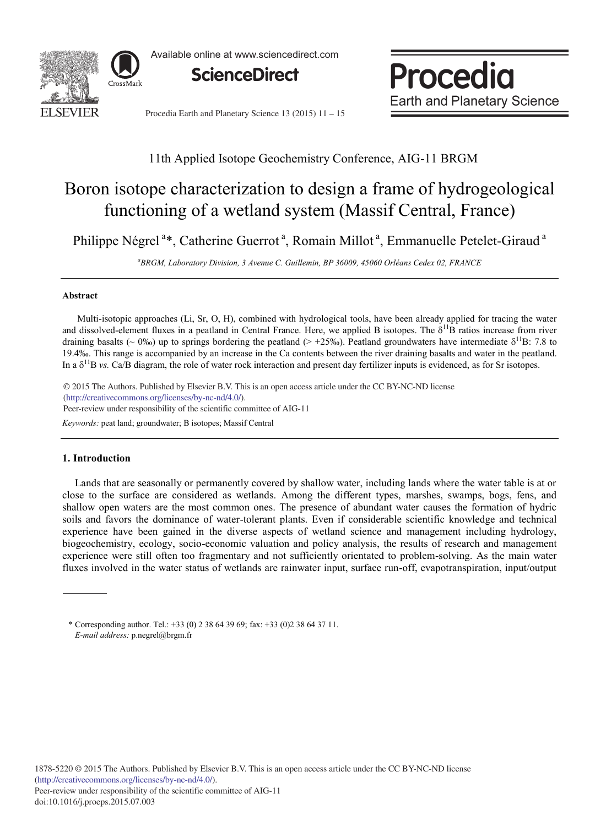

Available online at www.sciencedirect.com



Procedia **Earth and Planetary Science** 

Procedia Earth and Planetary Science 13 (2015) 11 - 15

### 11th Applied Isotope Geochemistry Conference, AIG-11 BRGM

## Boron isotope characterization to design a frame of hydrogeological functioning of a wetland system (Massif Central, France)

Philippe Négrel<sup>a\*</sup>, Catherine Guerrot<sup>a</sup>, Romain Millot<sup>a</sup>, Emmanuelle Petelet-Giraud<sup>a</sup>

*a BRGM, Laboratory Division, 3 Avenue C. Guillemin, BP 36009, 45060 Orléans Cedex 02, FRANCE*

#### **Abstract**

Multi-isotopic approaches (Li, Sr, O, H), combined with hydrological tools, have been already applied for tracing the water and dissolved-element fluxes in a peatland in Central France. Here, we applied B isotopes. The  $\delta^{11}B$  ratios increase from river draining basalts (~ 0‰) up to springs bordering the peatland (> +25‰). Peatland groundwaters have intermediate  $\delta^{11}B$ : 7.8 to 19.4‰. This range is accompanied by an increase in the Ca contents between the river draining basalts and water in the peatland. In a  $\delta^{11}$ B *vs.* Ca/B diagram, the role of water rock interaction and present day fertilizer inputs is evidenced, as for Sr isotopes.

© 2015 The Authors. Published by Elsevier B.V. © 2015 The Authors. Published by Elsevier B.V. This is an open access article under the CC BY-NC-ND license (http://creativecommons.org/licenses/by-nc-nd/4.0/). Peer-review under responsibility of the scientific committee of AIG-11

*Keywords:* peat land; groundwater; B isotopes; Massif Central

#### **1. Introduction**

Lands that are seasonally or permanently covered by shallow water, including lands where the water table is at or close to the surface are considered as wetlands. Among the different types, marshes, swamps, bogs, fens, and shallow open waters are the most common ones. The presence of abundant water causes the formation of hydric soils and favors the dominance of water-tolerant plants. Even if considerable scientific knowledge and technical experience have been gained in the diverse aspects of wetland science and management including hydrology, biogeochemistry, ecology, socio-economic valuation and policy analysis, the results of research and management experience were still often too fragmentary and not sufficiently orientated to problem-solving. As the main water fluxes involved in the water status of wetlands are rainwater input, surface run-off, evapotranspiration, input/output

\* Corresponding author. Tel.: +33 (0) 2 38 64 39 69; fax: +33 (0)2 38 64 37 11. *E-mail address:* p.negrel@brgm.fr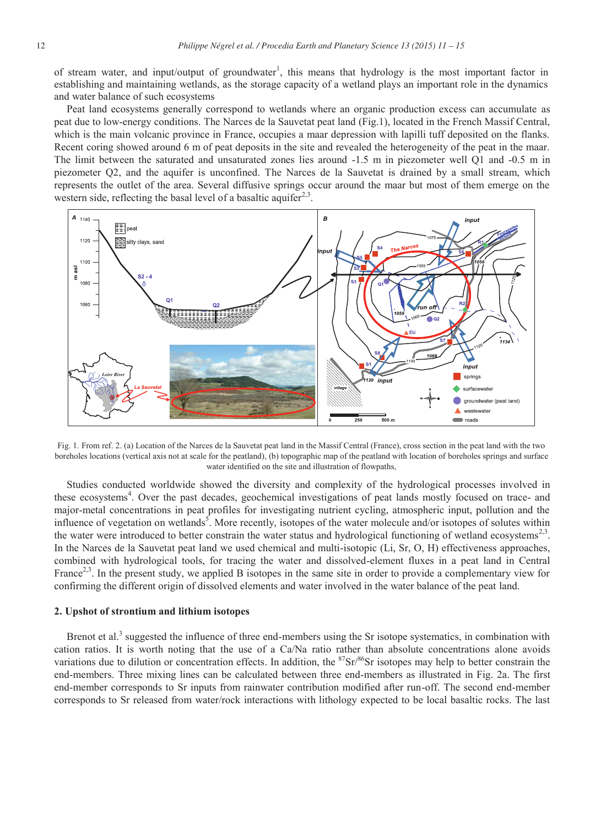of stream water, and input/output of groundwater<sup>1</sup>, this means that hydrology is the most important factor in establishing and maintaining wetlands, as the storage capacity of a wetland plays an important role in the dynamics and water balance of such ecosystems

Peat land ecosystems generally correspond to wetlands where an organic production excess can accumulate as peat due to low-energy conditions. The Narces de la Sauvetat peat land (Fig.1), located in the French Massif Central, which is the main volcanic province in France, occupies a maar depression with lapilli tuff deposited on the flanks. Recent coring showed around 6 m of peat deposits in the site and revealed the heterogeneity of the peat in the maar. The limit between the saturated and unsaturated zones lies around -1.5 m in piezometer well Q1 and -0.5 m in piezometer Q2, and the aquifer is unconfined. The Narces de la Sauvetat is drained by a small stream, which represents the outlet of the area. Several diffusive springs occur around the maar but most of them emerge on the western side, reflecting the basal level of a basaltic aquifer<sup>2,3</sup>.



Fig. 1. From ref. 2. (a) Location of the Narces de la Sauvetat peat land in the Massif Central (France), cross section in the peat land with the two boreholes locations (vertical axis not at scale for the peatland), (b) topographic map of the peatland with location of boreholes springs and surface water identified on the site and illustration of flowpaths,

Studies conducted worldwide showed the diversity and complexity of the hydrological processes involved in these ecosystems<sup>4</sup>. Over the past decades, geochemical investigations of peat lands mostly focused on trace- and major-metal concentrations in peat profiles for investigating nutrient cycling, atmospheric input, pollution and the influence of vegetation on wetlands<sup>5</sup>. More recently, isotopes of the water molecule and/or isotopes of solutes within the water were introduced to better constrain the water status and hydrological functioning of wetland ecosystems<sup>2,3</sup>. In the Narces de la Sauvetat peat land we used chemical and multi-isotopic (Li, Sr, O, H) effectiveness approaches, combined with hydrological tools, for tracing the water and dissolved-element fluxes in a peat land in Central France<sup>2,3</sup>. In the present study, we applied B isotopes in the same site in order to provide a complementary view for confirming the different origin of dissolved elements and water involved in the water balance of the peat land.

#### **2. Upshot of strontium and lithium isotopes**

Brenot et al.<sup>3</sup> suggested the influence of three end-members using the Sr isotope systematics, in combination with cation ratios. It is worth noting that the use of a Ca/Na ratio rather than absolute concentrations alone avoids variations due to dilution or concentration effects. In addition, the  ${}^{87}Sr/{}^{86}Sr$  isotopes may help to better constrain the end-members. Three mixing lines can be calculated between three end-members as illustrated in Fig. 2a. The first end-member corresponds to Sr inputs from rainwater contribution modified after run-off. The second end-member corresponds to Sr released from water/rock interactions with lithology expected to be local basaltic rocks. The last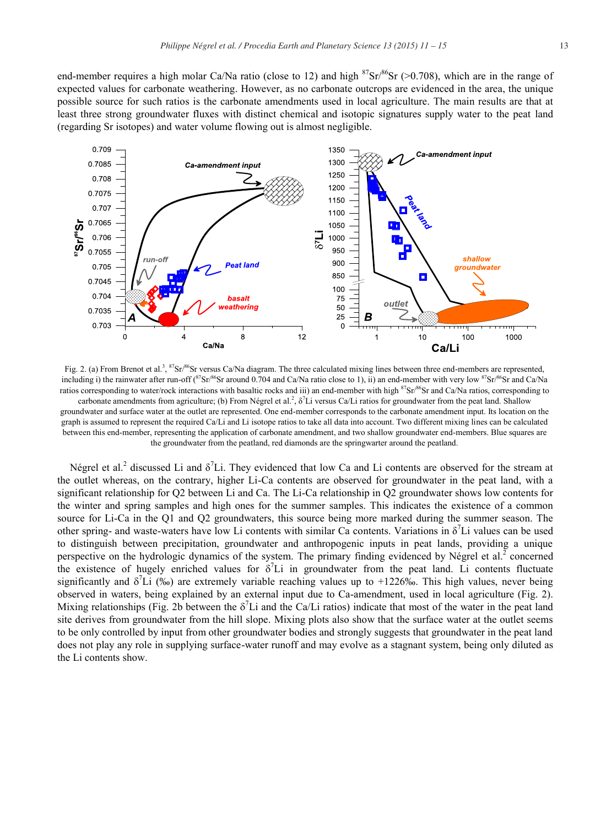end-member requires a high molar Ca/Na ratio (close to 12) and high  $87\text{Sr}/86\text{Sr}$  (>0.708), which are in the range of expected values for carbonate weathering. However, as no carbonate outcrops are evidenced in the area, the unique possible source for such ratios is the carbonate amendments used in local agriculture. The main results are that at least three strong groundwater fluxes with distinct chemical and isotopic signatures supply water to the peat land (regarding Sr isotopes) and water volume flowing out is almost negligible.



Fig. 2. (a) From Brenot et al.<sup>3</sup>,  ${}^{87}Sr/{}^{86}Sr$  versus Ca/Na diagram. The three calculated mixing lines between three end-members are represented, including i) the rainwater after run-off ( ${}^{87}Sr/86$ Sr around 0.704 and Ca/Na ratio close to 1), ii) an end-member with very low  ${}^{87}Sr/86$ Sr and Ca/Na ratios corresponding to water/rock interactions with basaltic rocks and iii) an end-member with high <sup>87</sup>Sr/86Sr and Ca/Na ratios, corresponding to carbonate amendments from agriculture; (b) From Négrel et al.<sup>2</sup>, δ<sup>7</sup>Li versus Ca/Li ratios for groundwater from the peat land. Shallow groundwater and surface water at the outlet are represented. One end-member corresponds to the carbonate amendment input. Its location on the graph is assumed to represent the required Ca/Li and Li isotope ratios to take all data into account. Two different mixing lines can be calculated between this end-member, representing the application of carbonate amendment, and two shallow groundwater end-members. Blue squares are the groundwater from the peatland, red diamonds are the springwarter around the peatland.

Négrel et al.<sup>2</sup> discussed Li and  $\delta^7$ Li. They evidenced that low Ca and Li contents are observed for the stream at the outlet whereas, on the contrary, higher Li-Ca contents are observed for groundwater in the peat land, with a significant relationship for Q2 between Li and Ca. The Li-Ca relationship in Q2 groundwater shows low contents for the winter and spring samples and high ones for the summer samples. This indicates the existence of a common source for Li-Ca in the Q1 and Q2 groundwaters, this source being more marked during the summer season. The other spring- and waste-waters have low Li contents with similar Ca contents. Variations in  $\delta^7$ Li values can be used to distinguish between precipitation, groundwater and anthropogenic inputs in peat lands, providing a unique perspective on the hydrologic dynamics of the system. The primary finding evidenced by Négrel et al.<sup>2</sup> concerned the existence of hugely enriched values for  $\delta^7$ Li in groundwater from the peat land. Li contents fluctuate significantly and  $\delta^7$ Li (‰) are extremely variable reaching values up to +1226‰. This high values, never being observed in waters, being explained by an external input due to Ca-amendment, used in local agriculture (Fig. 2). Mixing relationships (Fig. 2b between the  $\delta^7$ Li and the Ca/Li ratios) indicate that most of the water in the peat land site derives from groundwater from the hill slope. Mixing plots also show that the surface water at the outlet seems to be only controlled by input from other groundwater bodies and strongly suggests that groundwater in the peat land does not play any role in supplying surface-water runoff and may evolve as a stagnant system, being only diluted as the Li contents show.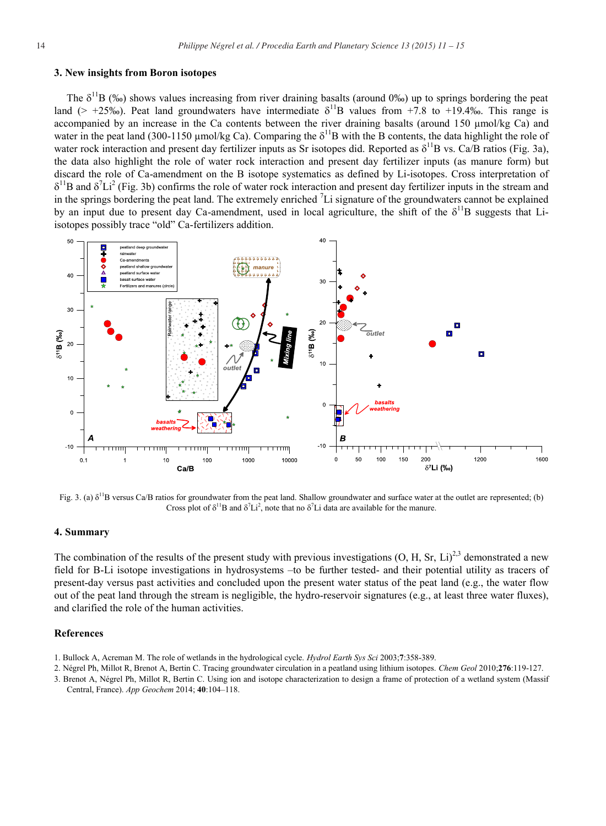#### **3. New insights from Boron isotopes**

The  $\delta^{11}B$  (‰) shows values increasing from river draining basalts (around 0‰) up to springs bordering the peat land (> +25‰). Peat land groundwaters have intermediate  $\delta^{11}B$  values from +7.8 to +19.4‰. This range is accompanied by an increase in the Ca contents between the river draining basalts (around 150 μmol/kg Ca) and water in the peat land (300-1150 µmol/kg Ca). Comparing the  $\delta^{11}B$  with the B contents, the data highlight the role of water rock interaction and present day fertilizer inputs as Sr isotopes did. Reported as  $\delta^{11}B$  vs. Ca/B ratios (Fig. 3a), the data also highlight the role of water rock interaction and present day fertilizer inputs (as manure form) but discard the role of Ca-amendment on the B isotope systematics as defined by Li-isotopes. Cross interpretation of  $\delta^{11}$ B and  $\delta^{7}Li^{2}$  (Fig. 3b) confirms the role of water rock interaction and present day fertilizer inputs in the stream and in the springs bordering the peat land. The extremely enriched  ${}^{7}$ Li signature of the groundwaters cannot be explained by an input due to present day Ca-amendment, used in local agriculture, the shift of the  $\delta^{11}B$  suggests that Liisotopes possibly trace "old" Ca-fertilizers addition.



Fig. 3. (a)  $\delta^{11}$ B versus Ca/B ratios for groundwater from the peat land. Shallow groundwater and surface water at the outlet are represented; (b) Cross plot of  $\delta^{11}B$  and  $\delta^{7}Li^{2}$ , note that no  $\delta^{7}Li$  data are available for the manure.

#### **4. Summary**

The combination of the results of the present study with previous investigations  $(O, H, Sr, Li)^{2,3}$  demonstrated a new field for B-Li isotope investigations in hydrosystems –to be further tested- and their potential utility as tracers of present-day versus past activities and concluded upon the present water status of the peat land (e.g., the water flow out of the peat land through the stream is negligible, the hydro-reservoir signatures (e.g., at least three water fluxes), and clarified the role of the human activities.

#### **References**

- 1. Bullock A, Acreman M. The role of wetlands in the hydrological cycle. *Hydrol Earth Sys Sci* 2003;**7**:358-389.
- 2. Négrel Ph, Millot R, Brenot A, Bertin C. Tracing groundwater circulation in a peatland using lithium isotopes. *Chem Geol* 2010;**276**:119-127.
- 3. Brenot A, Négrel Ph, Millot R, Bertin C. Using ion and isotope characterization to design a frame of protection of a wetland system (Massif Central, France). *App Geochem* 2014; **40**:104–118.